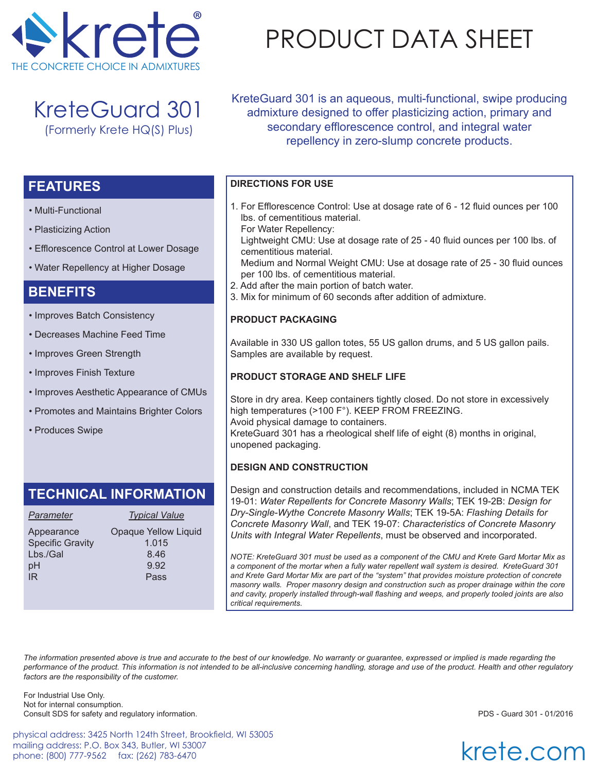

KreteGuard 301 (Formerly Krete HQ(S) Plus)

• Efflorescence Control at Lower Dosage

• Improves Aesthetic Appearance of CMUs

• Promotes and Maintains Brighter Colors

• Water Repellency at Higher Dosage

• Improves Batch Consistency • Decreases Machine Feed Time

• Improves Green Strength

• Improves Finish Texture

• Produces Swipe

• Multi-Functional

**FEATURES**

**BENEFITS**

• Plasticizing Action

# PRODUCT DATA SHEET

KreteGuard 301 is an aqueous, multi-functional, swipe producing admixture designed to offer plasticizing action, primary and secondary efflorescence control, and integral water repellency in zero-slump concrete products.

### **DIRECTIONS FOR USE**

- 1. For Efflorescence Control: Use at dosage rate of 6 12 fluid ounces per 100 lbs. of cementitious material.
	- For Water Repellency:

 Lightweight CMU: Use at dosage rate of 25 - 40 fluid ounces per 100 lbs. of cementitious material.

 Medium and Normal Weight CMU: Use at dosage rate of 25 - 30 fluid ounces per 100 lbs. of cementitious material.

- 2. Add after the main portion of batch water.
- 3. Mix for minimum of 60 seconds after addition of admixture.

#### **PRODUCT PACKAGING**

Available in 330 US gallon totes, 55 US gallon drums, and 5 US gallon pails. Samples are available by request.

#### **PRODUCT STORAGE AND SHELF LIFE**

Store in dry area. Keep containers tightly closed. Do not store in excessively high temperatures (>100 F°). KEEP FROM FREEZING. Avoid physical damage to containers. KreteGuard 301 has a rheological shelf life of eight (8) months in original, unopened packaging.

#### **DESIGN AND CONSTRUCTION**

Design and construction details and recommendations, included in NCMA TEK 19-01: *Water Repellents for Concrete Masonry Walls*; TEK 19-2B: *Design for Dry-Single-Wythe Concrete Masonry Walls*; TEK 19-5A: *Flashing Details for Concrete Masonry Wall*, and TEK 19-07: *Characteristics of Concrete Masonry Units with Integral Water Repellents*, must be observed and incorporated.

*NOTE: KreteGuard 301 must be used as a component of the CMU and Krete Gard Mortar Mix as a component of the mortar when a fully water repellent wall system is desired. KreteGuard 301 and Krete Gard Mortar Mix are part of the "system" that provides moisture protection of concrete masonry walls. Proper masonry design and construction such as proper drainage within the core and cavity, properly installed through-wall flashing and weeps, and properly tooled joints are also critical requirements.* 

*The information presented above is true and accurate to the best of our knowledge. No warranty or guarantee, expressed or implied is made regarding the performance of the product. This information is not intended to be all-inclusive concerning handling, storage and use of the product. Health and other regulatory factors are the responsibility of the customer.*

For Industrial Use Only. Not for internal consumption. Consult SDS for safety and regulatory information. PDS - Guard 301 - 01/2016

physical address: 3425 North 124th Street, Brookfield, WI 53005 mailing address: P.O. Box 343, Butler, WI 53007 phone: (800) 777-9562 fax: (262) 783-6470

krete.com

#### *Parameter Typical Value* Appearance Opaque Yellow Liquid Specific Gravity 1.015  $Lbs/Gal$  8.46 pH 9.92 IR Pass

**TECHNICAL INFORMATION**